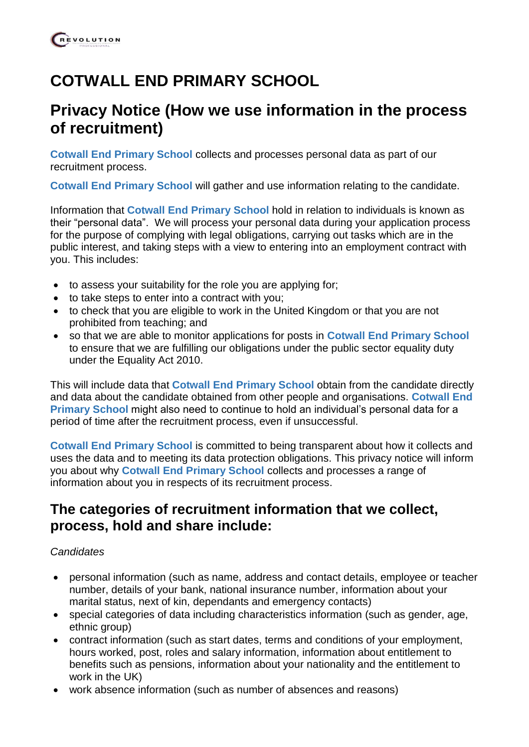# **COTWALL END PRIMARY SCHOOL**

## **Privacy Notice (How we use information in the process of recruitment)**

**Cotwall End Primary School** collects and processes personal data as part of our recruitment process.

**Cotwall End Primary School** will gather and use information relating to the candidate.

Information that **Cotwall End Primary School** hold in relation to individuals is known as their "personal data". We will process your personal data during your application process for the purpose of complying with legal obligations, carrying out tasks which are in the public interest, and taking steps with a view to entering into an employment contract with you. This includes:

- to assess your suitability for the role you are applying for;
- to take steps to enter into a contract with you;
- to check that you are eligible to work in the United Kingdom or that you are not prohibited from teaching; and
- so that we are able to monitor applications for posts in **Cotwall End Primary School** to ensure that we are fulfilling our obligations under the public sector equality duty under the Equality Act 2010.

This will include data that **Cotwall End Primary School** obtain from the candidate directly and data about the candidate obtained from other people and organisations. **Cotwall End Primary School** might also need to continue to hold an individual's personal data for a period of time after the recruitment process, even if unsuccessful.

**Cotwall End Primary School** is committed to being transparent about how it collects and uses the data and to meeting its data protection obligations. This privacy notice will inform you about why **Cotwall End Primary School** collects and processes a range of information about you in respects of its recruitment process.

## **The categories of recruitment information that we collect, process, hold and share include:**

#### *Candidates*

- personal information (such as name, address and contact details, employee or teacher number, details of your bank, national insurance number, information about your marital status, next of kin, dependants and emergency contacts)
- special categories of data including characteristics information (such as gender, age, ethnic group)
- contract information (such as start dates, terms and conditions of your employment, hours worked, post, roles and salary information, information about entitlement to benefits such as pensions, information about your nationality and the entitlement to work in the UK)
- work absence information (such as number of absences and reasons)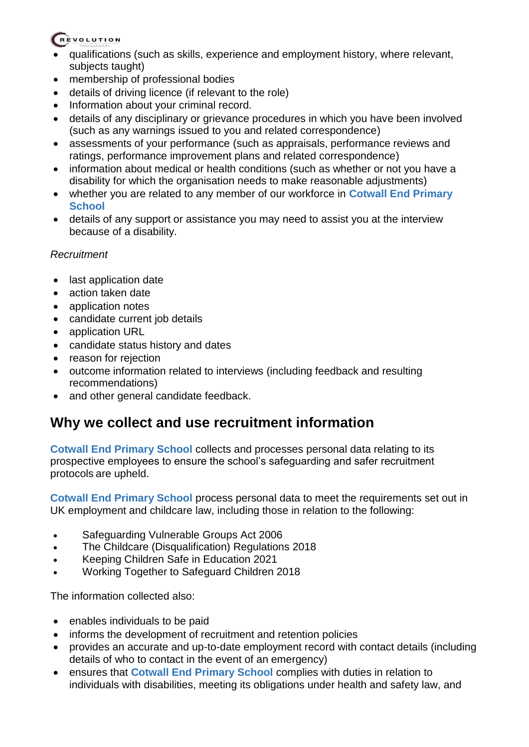### REVOLUTION

- qualifications (such as skills, experience and employment history, where relevant, subjects taught)
- membership of professional bodies
- details of driving licence (if relevant to the role)
- Information about your criminal record.
- details of any disciplinary or grievance procedures in which you have been involved (such as any warnings issued to you and related correspondence)
- assessments of your performance (such as appraisals, performance reviews and ratings, performance improvement plans and related correspondence)
- information about medical or health conditions (such as whether or not you have a disability for which the organisation needs to make reasonable adjustments)
- whether you are related to any member of our workforce in **Cotwall End Primary School**
- details of any support or assistance you may need to assist you at the interview because of a disability.

#### *Recruitment*

- last application date
- action taken date
- application notes
- candidate current job details
- application URL
- candidate status history and dates
- reason for rejection
- outcome information related to interviews (including feedback and resulting recommendations)
- and other general candidate feedback.

## **Why we collect and use recruitment information**

**Cotwall End Primary School** collects and processes personal data relating to its prospective employees to ensure the school's safeguarding and safer recruitment protocols are upheld.

**Cotwall End Primary School** process personal data to meet the requirements set out in UK employment and childcare law, including those in relation to the following:

- Safeguarding Vulnerable Groups Act 2006
- The Childcare (Disqualification) Regulations 2018
- Keeping Children Safe in Education 2021
- Working Together to Safeguard Children 2018

The information collected also:

- enables individuals to be paid
- informs the development of recruitment and retention policies
- provides an accurate and up-to-date employment record with contact details (including details of who to contact in the event of an emergency)
- ensures that **Cotwall End Primary School** complies with duties in relation to individuals with disabilities, meeting its obligations under health and safety law, and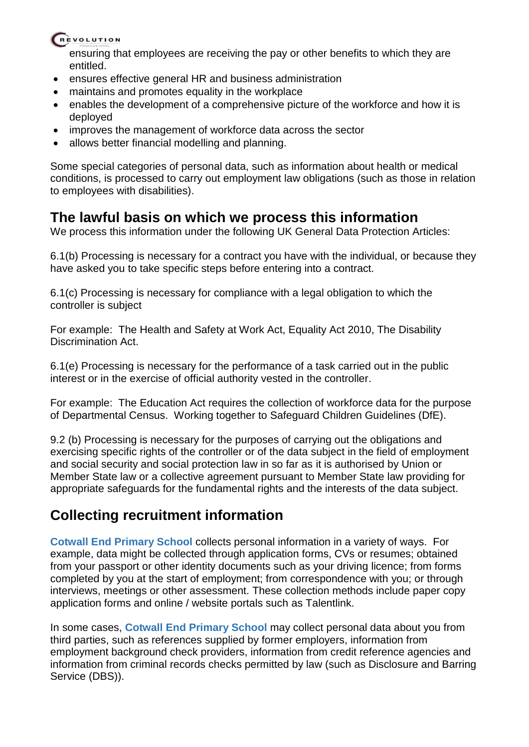#### REVOLUTION

ensuring that employees are receiving the pay or other benefits to which they are entitled.

- ensures effective general HR and business administration
- maintains and promotes equality in the workplace
- enables the development of a comprehensive picture of the workforce and how it is deployed
- improves the management of workforce data across the sector
- allows better financial modelling and planning.

Some special categories of personal data, such as information about health or medical conditions, is processed to carry out employment law obligations (such as those in relation to employees with disabilities).

## **The lawful basis on which we process this information**

We process this information under the following UK General Data Protection Articles:

6.1(b) Processing is necessary for a contract you have with the individual, or because they have asked you to take specific steps before entering into a contract.

6.1(c) Processing is necessary for compliance with a legal obligation to which the controller is subject

For example: The Health and Safety at Work Act, Equality Act 2010, The Disability Discrimination Act.

6.1(e) Processing is necessary for the performance of a task carried out in the public interest or in the exercise of official authority vested in the controller.

For example: The Education Act requires the collection of workforce data for the purpose of Departmental Census. Working together to Safeguard Children Guidelines (DfE).

9.2 (b) Processing is necessary for the purposes of carrying out the obligations and exercising specific rights of the controller or of the data subject in the field of employment and social security and social protection law in so far as it is authorised by Union or Member State law or a collective agreement pursuant to Member State law providing for appropriate safeguards for the fundamental rights and the interests of the data subject.

## **Collecting recruitment information**

**Cotwall End Primary School** collects personal information in a variety of ways. For example, data might be collected through application forms, CVs or resumes; obtained from your passport or other identity documents such as your driving licence; from forms completed by you at the start of employment; from correspondence with you; or through interviews, meetings or other assessment. These collection methods include paper copy application forms and online / website portals such as Talentlink.

In some cases, **Cotwall End Primary School** may collect personal data about you from third parties, such as references supplied by former employers, information from employment background check providers, information from credit reference agencies and information from criminal records checks permitted by law (such as Disclosure and Barring Service (DBS)).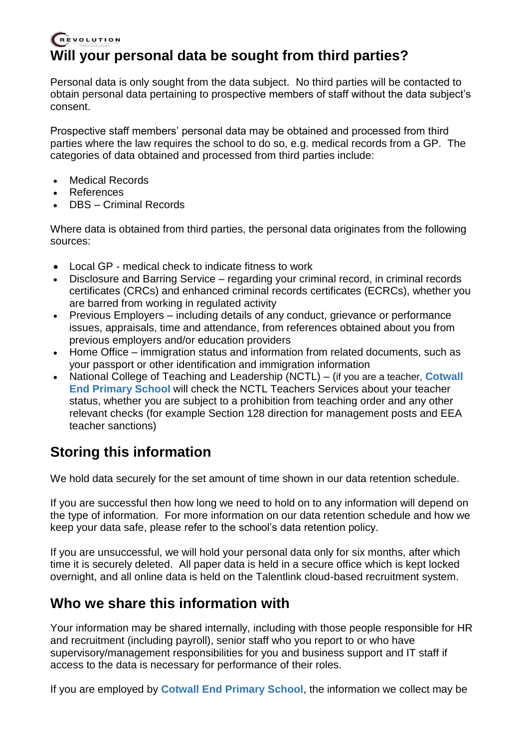### REVOLUTION **Will your personal data be sought from third parties?**

Personal data is only sought from the data subject. No third parties will be contacted to obtain personal data pertaining to prospective members of staff without the data subject's consent.

Prospective staff members' personal data may be obtained and processed from third parties where the law requires the school to do so, e.g. medical records from a GP. The categories of data obtained and processed from third parties include:

- Medical Records
- References
- DBS Criminal Records

Where data is obtained from third parties, the personal data originates from the following sources:

- Local GP medical check to indicate fitness to work
- Disclosure and Barring Service regarding your criminal record, in criminal records certificates (CRCs) and enhanced criminal records certificates (ECRCs), whether you are barred from working in regulated activity
- Previous Employers including details of any conduct, grievance or performance issues, appraisals, time and attendance, from references obtained about you from previous employers and/or education providers
- Home Office immigration status and information from related documents, such as your passport or other identification and immigration information
- National College of Teaching and Leadership (NCTL) (if you are a teacher, **Cotwall End Primary School** will check the NCTL Teachers Services about your teacher status, whether you are subject to a prohibition from teaching order and any other relevant checks (for example Section 128 direction for management posts and EEA teacher sanctions)

## **Storing this information**

We hold data securely for the set amount of time shown in our data retention schedule.

If you are successful then how long we need to hold on to any information will depend on the type of information. For more information on our data retention schedule and how we keep your data safe, please refer to the school's data retention policy.

If you are unsuccessful, we will hold your personal data only for six months, after which time it is securely deleted. All paper data is held in a secure office which is kept locked overnight, and all online data is held on the Talentlink cloud-based recruitment system.

## **Who we share this information with**

Your information may be shared internally, including with those people responsible for HR and recruitment (including payroll), senior staff who you report to or who have supervisory/management responsibilities for you and business support and IT staff if access to the data is necessary for performance of their roles.

If you are employed by **Cotwall End Primary School**, the information we collect may be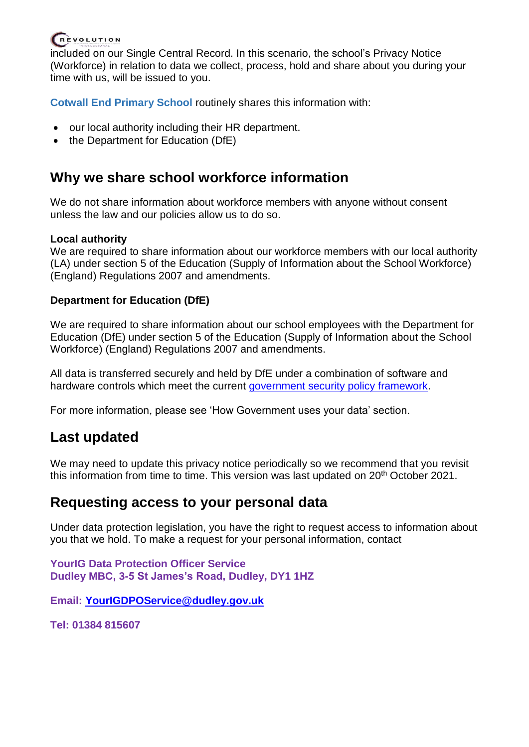## REVOLUTION

included on our Single Central Record. In this scenario, the school's Privacy Notice (Workforce) in relation to data we collect, process, hold and share about you during your time with us, will be issued to you.

**Cotwall End Primary School** routinely shares this information with:

- our local authority including their HR department.
- the Department for Education (DfE)

## **Why we share school workforce information**

We do not share information about workforce members with anyone without consent unless the law and our policies allow us to do so.

#### **Local authority**

We are required to share information about our workforce members with our local authority (LA) under section 5 of the Education (Supply of Information about the School Workforce) (England) Regulations 2007 and amendments.

#### **Department for Education (DfE)**

We are required to share information about our school employees with the Department for Education (DfE) under section 5 of the Education (Supply of Information about the School Workforce) (England) Regulations 2007 and amendments.

All data is transferred securely and held by DfE under a combination of software and hardware controls which meet the current [government security policy framework.](https://www.gov.uk/government/publications/security-policy-framework)

For more information, please see 'How Government uses your data' section.

## **Last updated**

We may need to update this privacy notice periodically so we recommend that you revisit this information from time to time. This version was last updated on 20<sup>th</sup> October 2021.

## **Requesting access to your personal data**

Under data protection legislation, you have the right to request access to information about you that we hold. To make a request for your personal information, contact

**YourIG Data Protection Officer Service Dudley MBC, 3-5 St James's Road, Dudley, DY1 1HZ**

**Email: [YourIGDPOService@dudley.gov.uk](mailto:YourIGDPOService@dudley.gov.uk)** 

**Tel: 01384 815607**